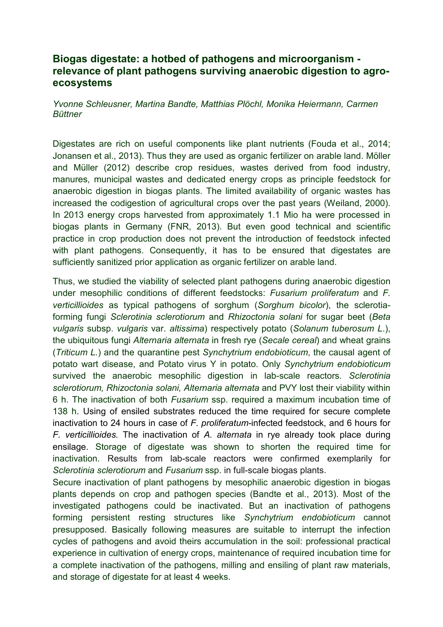## **Biogas digestate: a hotbed of pathogens and microorganism relevance of plant pathogens surviving anaerobic digestion to agroecosystems**

*Yvonne Schleusner, Martina Bandte, Matthias Plöchl, Monika Heiermann, Carmen Büttner* 

Digestates are rich on useful components like plant nutrients (Fouda et al., 2014; Jonansen et al., 2013). Thus they are used as organic fertilizer on arable land. Möller and Müller (2012) describe crop residues, wastes derived from food industry, manures, municipal wastes and dedicated energy crops as principle feedstock for anaerobic digestion in biogas plants. The limited availability of organic wastes has increased the codigestion of agricultural crops over the past years (Weiland, 2000). In 2013 energy crops harvested from approximately 1.1 Mio ha were processed in biogas plants in Germany (FNR, 2013). But even good technical and scientific practice in crop production does not prevent the introduction of feedstock infected with plant pathogens. Consequently, it has to be ensured that digestates are sufficiently sanitized prior application as organic fertilizer on arable land.

Thus, we studied the viability of selected plant pathogens during anaerobic digestion under mesophilic conditions of different feedstocks: *Fusarium proliferatum* and *F. verticillioides* as typical pathogens of sorghum (*Sorghum bicolor*), the sclerotiaforming fungi *Sclerotinia sclerotiorum* and *Rhizoctonia solani* for sugar beet (*Beta vulgaris* subsp. *vulgaris* var. *altissima*) respectively potato (*Solanum tuberosum L*.), the ubiquitous fungi *Alternaria alternata* in fresh rye (*Secale cereal*) and wheat grains (*Triticum L.*) and the quarantine pest *Synchytrium endobioticum*, the causal agent of potato wart disease, and Potato virus Y in potato. Only *Synchytrium endobioticum* survived the anaerobic mesophilic digestion in lab-scale reactors*. Sclerotinia sclerotiorum, Rhizoctonia solani, Alternaria alternata* and PVY lost their viability within 6 h. The inactivation of both *Fusarium* ssp. required a maximum incubation time of 138 h. Using of ensiled substrates reduced the time required for secure complete inactivation to 24 hours in case of *F. proliferatum-*infected feedstock, and 6 hours for *F. verticillioides.* The inactivation of *A. alternata* in rye already took place during ensilage. Storage of digestate was shown to shorten the required time for inactivation. Results from lab-scale reactors were confirmed exemplarily for *Sclerotinia sclerotiorum* and *Fusarium* ssp. in full-scale biogas plants.

Secure inactivation of plant pathogens by mesophilic anaerobic digestion in biogas plants depends on crop and pathogen species (Bandte et al., 2013). Most of the investigated pathogens could be inactivated. But an inactivation of pathogens forming persistent resting structures like *Synchytrium endobioticum* cannot presupposed. Basically following measures are suitable to interrupt the infection cycles of pathogens and avoid theirs accumulation in the soil: professional practical experience in cultivation of energy crops, maintenance of required incubation time for a complete inactivation of the pathogens, milling and ensiling of plant raw materials, and storage of digestate for at least 4 weeks.